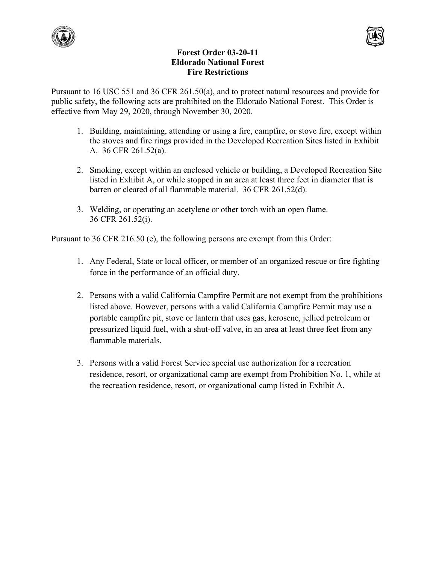



## **Forest Order 03-20-11 Eldorado National Forest Fire Restrictions**

Pursuant to 16 USC 551 and 36 CFR 261.50(a), and to protect natural resources and provide for public safety, the following acts are prohibited on the Eldorado National Forest. This Order is effective from May 29, 2020, through November 30, 2020.

- 1. Building, maintaining, attending or using a fire, campfire, or stove fire, except within the stoves and fire rings provided in the Developed Recreation Sites listed in Exhibit A. 36 CFR 261.52(a).
- 2. Smoking, except within an enclosed vehicle or building, a Developed Recreation Site listed in Exhibit A, or while stopped in an area at least three feet in diameter that is barren or cleared of all flammable material. 36 CFR 261.52(d).
- 3. Welding, or operating an acetylene or other torch with an open flame. 36 CFR 261.52(i).

Pursuant to 36 CFR 216.50 (e), the following persons are exempt from this Order:

- 1. Any Federal, State or local officer, or member of an organized rescue or fire fighting force in the performance of an official duty.
- 2. Persons with a valid California Campfire Permit are not exempt from the prohibitions listed above. However, persons with a valid California Campfire Permit may use a portable campfire pit, stove or lantern that uses gas, kerosene, jellied petroleum or pressurized liquid fuel, with a shut-off valve, in an area at least three feet from any flammable materials.
- 3. Persons with a valid Forest Service special use authorization for a recreation residence, resort, or organizational camp are exempt from Prohibition No. 1, while at the recreation residence, resort, or organizational camp listed in Exhibit A.